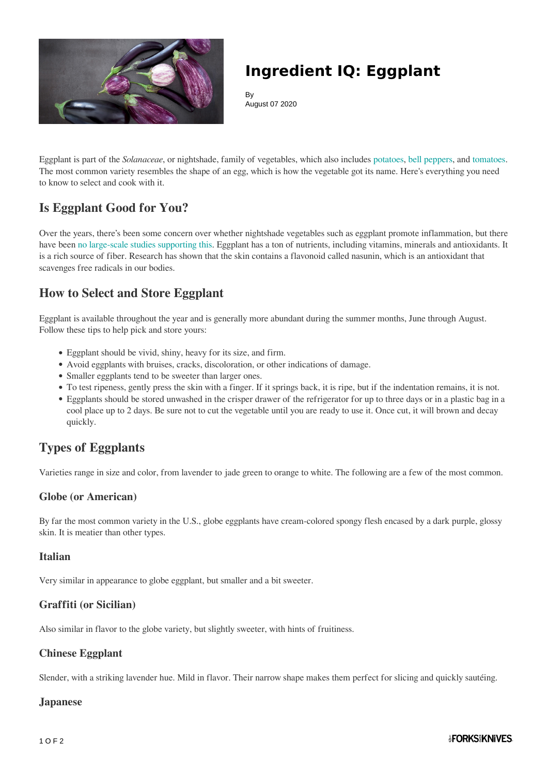

## **Ingredient IQ: Eggplant**

By August 07 2020

Eggplant is part of the *Solanaceae*, or nightshade, family of vegetables, which also includes [potatoes,](https://www.forksoverknives.com/recipes/vegan-baked-stuffed/potato-recipes/) [bell peppers,](https://www.forksoverknives.com/how-tos/bell-pepper-uses-colors-types-storage/) and [tomatoes](https://www.forksoverknives.com/recipes/vegan-menus-collections/plant-based-tomato-recipes-summer/). The most common variety resembles the shape of an egg, which is how the vegetable got its name. Here's everything you need to know to select and cook with it.

## **Is Eggplant Good for You?**

Over the years, there's been some concern over whether nightshade vegetables such as eggplant promote inflammation, but there have been [no large-scale studies supporting this](https://health.clevelandclinic.org/whats-the-deal-with-nightshade-vegetables/). Eggplant has a ton of nutrients, including vitamins, minerals and antioxidants. It is a rich source of fiber. Research has shown that the skin contains a flavonoid called nasunin, which is an antioxidant that scavenges free radicals in our bodies.

### **How to Select and Store Eggplant**

Eggplant is available throughout the year and is generally more abundant during the summer months, June through August. Follow these tips to help pick and store yours:

- Eggplant should be vivid, shiny, heavy for its size, and firm.
- Avoid eggplants with bruises, cracks, discoloration, or other indications of damage.
- Smaller eggplants tend to be sweeter than larger ones.
- To test ripeness, gently press the skin with a finger. If it springs back, it is ripe, but if the indentation remains, it is not.
- Eggplants should be stored unwashed in the crisper drawer of the refrigerator for up to three days or in a plastic bag in a cool place up to 2 days. Be sure not to cut the vegetable until you are ready to use it. Once cut, it will brown and decay quickly.

## **Types of Eggplants**

Varieties range in size and color, from lavender to jade green to orange to white. The following are a few of the most common.

#### **Globe (or American)**

By far the most common variety in the U.S., globe eggplants have cream-colored spongy flesh encased by a dark purple, glossy skin. It is meatier than other types.

#### **Italian**

Very similar in appearance to globe eggplant, but smaller and a bit sweeter.

#### **Graffiti (or Sicilian)**

Also similar in flavor to the globe variety, but slightly sweeter, with hints of fruitiness.

#### **Chinese Eggplant**

Slender, with a striking lavender hue. Mild in flavor. Their narrow shape makes them perfect for slicing and quickly sautéing.

#### **Japanese**